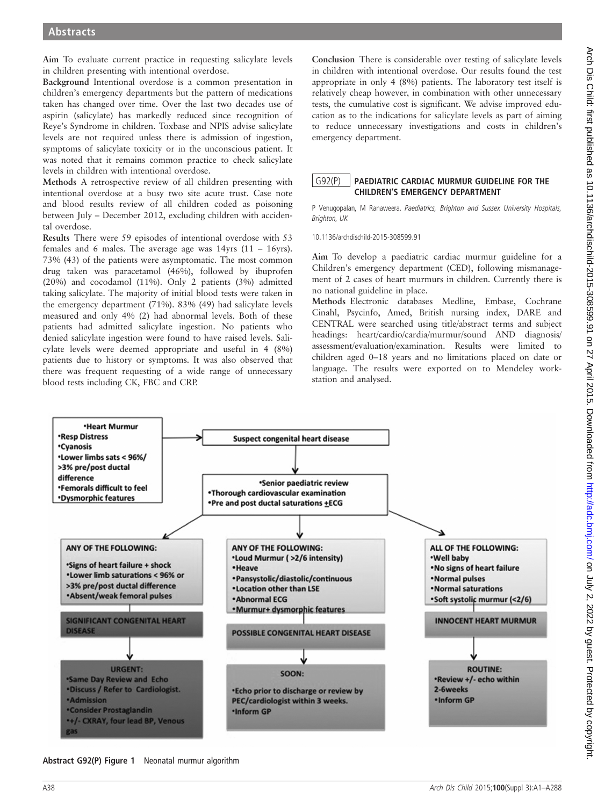Aim To evaluate current practice in requesting salicylate levels in children presenting with intentional overdose.

Background Intentional overdose is a common presentation in children's emergency departments but the pattern of medications taken has changed over time. Over the last two decades use of aspirin (salicylate) has markedly reduced since recognition of Reye's Syndrome in children. Toxbase and NPIS advise salicylate levels are not required unless there is admission of ingestion, symptoms of salicylate toxicity or in the unconscious patient. It was noted that it remains common practice to check salicylate levels in children with intentional overdose.

Methods A retrospective review of all children presenting with intentional overdose at a busy two site acute trust. Case note and blood results review of all children coded as poisoning between July – December 2012, excluding children with accidental overdose.

Results There were 59 episodes of intentional overdose with 53 females and 6 males. The average age was 14yrs (11 – 16yrs). 73% (43) of the patients were asymptomatic. The most common drug taken was paracetamol (46%), followed by ibuprofen (20%) and cocodamol (11%). Only 2 patients (3%) admitted taking salicylate. The majority of initial blood tests were taken in the emergency department (71%). 83% (49) had salicylate levels measured and only 4% (2) had abnormal levels. Both of these patients had admitted salicylate ingestion. No patients who denied salicylate ingestion were found to have raised levels. Salicylate levels were deemed appropriate and useful in 4 (8%) patients due to history or symptoms. It was also observed that there was frequent requesting of a wide range of unnecessary blood tests including CK, FBC and CRP.

Conclusion There is considerable over testing of salicylate levels in children with intentional overdose. Our results found the test appropriate in only 4 (8%) patients. The laboratory test itself is relatively cheap however, in combination with other unnecessary tests, the cumulative cost is significant. We advise improved education as to the indications for salicylate levels as part of aiming to reduce unnecessary investigations and costs in children's emergency department.

## G92(P) PAEDIATRIC CARDIAC MURMUR GUIDELINE FOR THE CHILDREN'S EMERGENCY DEPARTMENT

P Venugopalan, M Ranaweera. Paediatrics, Brighton and Sussex University Hospitals, Brighton, UK

10.1136/archdischild-2015-308599.91

Aim To develop a paediatric cardiac murmur guideline for a Children's emergency department (CED), following mismanagement of 2 cases of heart murmurs in children. Currently there is no national guideline in place.

Methods Electronic databases Medline, Embase, Cochrane Cinahl, Psycinfo, Amed, British nursing index, DARE and CENTRAL were searched using title/abstract terms and subject headings: heart/cardio/cardia/murmur/sound AND diagnosis/ assessment/evaluation/examination. Results were limited to children aged 0–18 years and no limitations placed on date or language. The results were exported on to Mendeley workstation and analysed.



Abstract G92(P) Figure 1 Neonatal murmur algorithm